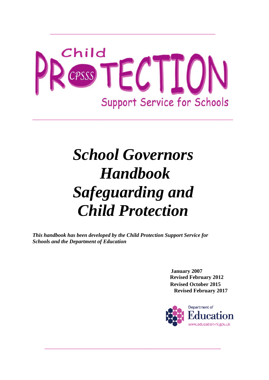

*\_\_\_\_\_\_\_\_\_\_\_\_\_\_\_\_\_\_\_\_\_\_\_\_\_\_\_\_\_\_\_\_\_\_\_\_\_\_\_\_\_\_\_\_\_\_\_\_\_\_\_\_\_\_\_\_\_\_\_\_\_\_\_\_\_\_\_\_\_\_\_\_\_\_*

*\_\_\_\_\_\_\_\_\_\_\_\_\_\_\_\_\_\_\_\_\_\_\_\_\_\_\_\_\_\_\_\_\_\_\_\_\_\_\_\_\_\_\_\_\_\_\_\_\_\_\_\_\_\_\_\_\_\_\_\_\_*

# *School Governors Handbook Safeguarding and Child Protection*

*\_\_\_\_\_\_\_\_\_\_\_\_\_\_\_\_\_\_\_\_\_\_\_\_\_\_\_\_\_\_\_\_\_\_\_\_\_\_\_\_\_\_\_\_\_\_\_\_\_\_\_\_\_\_\_\_\_\_\_\_\_\_\_\_\_*

*This handbook has been developed by the Child Protection Support Service for Schools and the Department of Education*

> **January 2007 Revised February 2012 Revised October 2015 Revised February 2017**

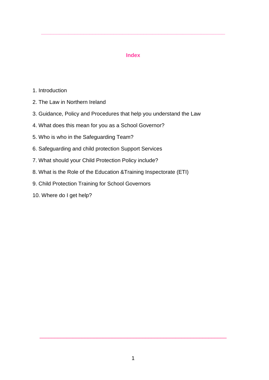#### **Index**

**\_\_\_\_\_\_\_\_\_\_\_\_\_\_\_\_\_\_\_\_\_\_\_\_\_\_\_\_\_\_\_\_\_\_\_\_\_\_\_\_\_\_\_\_\_\_\_\_\_\_\_\_\_\_\_\_\_\_\_\_\_**

- 1. Introduction
- 2. The Law in Northern Ireland
- 3. Guidance, Policy and Procedures that help you understand the Law
- 4. What does this mean for you as a School Governor?
- 5. Who is who in the Safeguarding Team?
- 6. Safeguarding and child protection Support Services
- 7. What should your Child Protection Policy include?
- 8. What is the Role of the Education &Training Inspectorate (ETI)
- 9. Child Protection Training for School Governors
- 10. Where do I get help?

\_\_\_\_\_\_\_\_\_\_\_\_\_\_\_\_\_\_\_\_\_\_\_\_\_\_\_\_\_\_\_\_\_\_\_\_\_\_\_\_\_\_\_\_\_\_\_\_\_\_\_\_\_\_\_\_\_\_\_\_\_\_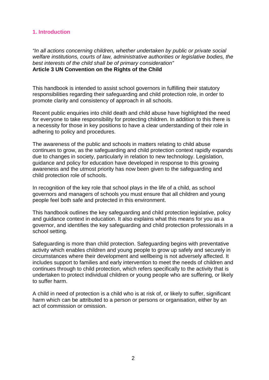#### **1. Introduction**

*"In all actions concerning children, whether undertaken by public or private social welfare institutions, courts of law, administrative authorities or legislative bodies, the best interests of the child shall be of primary consideration"* **Article 3 UN Convention on the Rights of the Child**

This handbook is intended to assist school governors in fulfilling their statutory responsibilities regarding their safeguarding and child protection role, in order to promote clarity and consistency of approach in all schools.

Recent public enquiries into child death and child abuse have highlighted the need for everyone to take responsibility for protecting children. In addition to this there is a necessity for those in key positions to have a clear understanding of their role in adhering to policy and procedures.

The awareness of the public and schools in matters relating to child abuse continues to grow, as the safeguarding and child protection context rapidly expands due to changes in society, particularly in relation to new technology. Legislation, guidance and policy for education have developed in response to this growing awareness and the utmost priority has now been given to the safeguarding and child protection role of schools.

In recognition of the key role that school plays in the life of a child, as school governors and managers of schools you must ensure that all children and young people feel both safe and protected in this environment.

This handbook outlines the key safeguarding and child protection legislative, policy and guidance context in education. It also explains what this means for you as a governor, and identifies the key safeguarding and child protection professionals in a school setting.

Safeguarding is more than child protection. Safeguarding begins with preventative activity which enables children and young people to grow up safely and securely in circumstances where their development and wellbeing is not adversely affected. It includes support to families and early intervention to meet the needs of children and continues through to child protection, which refers specifically to the activity that is undertaken to protect individual children or young people who are suffering, or likely to suffer harm.

A child in need of protection is a child who is at risk of, or likely to suffer, significant harm which can be attributed to a person or persons or organisation, either by an act of commission or omission.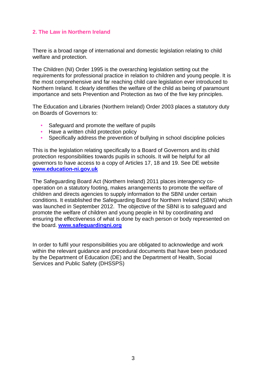#### **2. The Law in Northern Ireland**

There is a broad range of international and domestic legislation relating to child welfare and protection.

The Children (NI) Order 1995 is the overarching legislation setting out the requirements for professional practice in relation to children and young people. It is the most comprehensive and far reaching child care legislation ever introduced to Northern Ireland. It clearly identifies the welfare of the child as being of paramount importance and sets Prevention and Protection as two of the five key principles.

The Education and Libraries (Northern Ireland) Order 2003 places a statutory duty on Boards of Governors to:

- Safeguard and promote the welfare of pupils
- Have a written child protection policy
- Specifically address the prevention of bullying in school discipline policies

This is the legislation relating specifically to a Board of Governors and its child protection responsibilities towards pupils in schools. It will be helpful for all governors to have access to a copy of Articles 17, 18 and 19. See DE website **[www.education-ni.gov.uk](http://www.education-ni.gov.uk/)**

The Safeguarding Board Act (Northern Ireland) 2011 places interagency cooperation on a statutory footing, makes arrangements to promote the welfare of children and directs agencies to supply information to the SBNI under certain conditions. It established the Safeguarding Board for Northern Ireland (SBNI) which was launched in September 2012. The objective of the SBNI is to safeguard and promote the welfare of children and young people in NI by coordinating and ensuring the effectiveness of what is done by each person or body represented on the board. **[www.safeguardingni.org](http://www.safeguardingni.org/)**

In order to fulfil your responsibilities you are obligated to acknowledge and work within the relevant guidance and procedural documents that have been produced by the Department of Education (DE) and the Department of Health, Social Services and Public Safety (DHSSPS)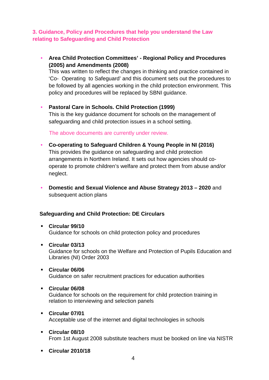## **3. Guidance, Policy and Procedures that help you understand the Law relating to Safeguarding and Child Protection**

• **Area Child Protection Committees' - Regional Policy and Procedures (2005) and Amendments (2008)**

This was written to reflect the changes in thinking and practice contained in 'Co- Operating to Safeguard' and this document sets out the procedures to be followed by all agencies working in the child protection environment. This policy and procedures will be replaced by SBNI guidance.

#### • **Pastoral Care in Schools. Child Protection (1999)**

This is the key guidance document for schools on the management of safeguarding and child protection issues in a school setting.

The above documents are currently under review.

- **Co-operating to Safeguard Children & Young People in NI (2016)** This provides the guidance on safeguarding and child protection arrangements in Northern Ireland. It sets out how agencies should cooperate to promote children's welfare and protect them from abuse and/or neglect.
- **Domestic and Sexual Violence and Abuse Strategy 2013 – 2020** and subsequent action plans

#### **Safeguarding and Child Protection: DE Circulars**

- **Circular 99/10** Guidance for schools on child protection policy and procedures
- **Circular 03/13** Guidance for schools on the Welfare and Protection of Pupils Education and Libraries (NI) Order 2003
- **Circular 06/06** Guidance on safer recruitment practices for education authorities
- **Circular 06/08**

Guidance for schools on the requirement for child protection training in relation to interviewing and selection panels

- **Circular 07/01**  Acceptable use of the internet and digital technologies in schools
- **Circular 08/10** From 1st August 2008 substitute teachers must be booked on line via NISTR
- **Circular 2010/18**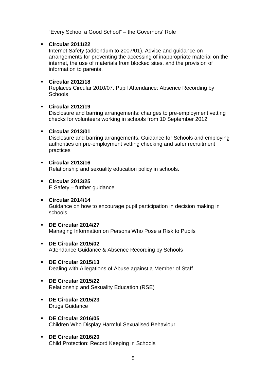"Every School a Good School" – the Governors' Role

#### **Circular 2011/22**

Internet Safety (addendum to 2007/01). Advice and guidance on arrangements for preventing the accessing of inappropriate material on the internet, the use of materials from blocked sites, and the provision of information to parents.

#### **Circular 2012/18**

Replaces Circular 2010/07. Pupil Attendance: Absence Recording by **Schools** 

#### **Circular 2012/19**

Disclosure and barring arrangements: changes to pre-employment vetting checks for volunteers working in schools from 10 September 2012

#### **Circular 2013/01**

Disclosure and barring arrangements. Guidance for Schools and employing authorities on pre-employment vetting checking and safer recruitment practices

#### **Circular 2013/16**

Relationship and sexuality education policy in schools.

 **Circular 2013/25** E Safety – further guidance

#### **Circular 2014/14**

Guidance on how to encourage pupil participation in decision making in schools

- **DE Circular 2014/27** Managing Information on Persons Who Pose a Risk to Pupils
- **DE Circular 2015/02** Attendance Guidance & Absence Recording by Schools
- **DE Circular 2015/13** Dealing with Allegations of Abuse against a Member of Staff
- **DE Circular 2015/22** Relationship and Sexuality Education (RSE)
- **DE Circular 2015/23** Drugs Guidance
- **DE Circular 2016/05** Children Who Display Harmful Sexualised Behaviour
- **DE Circular 2016/20** Child Protection: Record Keeping in Schools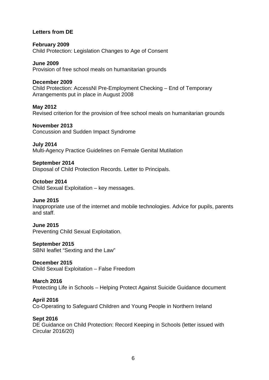#### **Letters from DE**

**February 2009** Child Protection: Legislation Changes to Age of Consent

**June 2009**  Provision of free school meals on humanitarian grounds

#### **December 2009**

Child Protection: AccessNI Pre-Employment Checking – End of Temporary Arrangements put in place in August 2008

**May 2012**

Revised criterion for the provision of free school meals on humanitarian grounds

#### **November 2013**

Concussion and Sudden Impact Syndrome

**July 2014**

Multi-Agency Practice Guidelines on Female Genital Mutilation

#### **September 2014**

Disposal of Child Protection Records. Letter to Principals.

**October 2014** Child Sexual Exploitation – key messages.

#### **June 2015**

Inappropriate use of the internet and mobile technologies. Advice for pupils, parents and staff.

#### **June 2015**

Preventing Child Sexual Exploitation.

**September 2015**

SBNI leaflet "Sexting and the Law"

**December 2015** Child Sexual Exploitation – False Freedom

#### **March 2016** Protecting Life in Schools – Helping Protect Against Suicide Guidance document

**April 2016** Co-Operating to Safeguard Children and Young People in Northern Ireland

#### **Sept 2016**

DE Guidance on Child Protection: Record Keeping in Schools (letter issued with Circular 2016/20)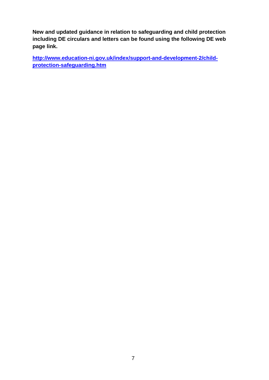**New and updated guidance in relation to safeguarding and child protection including DE circulars and letters can be found using the following DE web page link.**

**[http://www.education-ni.gov.uk/index/support-and-development-2/child](http://www.education-ni.gov.uk/index/support-and-development-2/child-protection-safeguarding.htm)[protection-safeguarding.htm](http://www.education-ni.gov.uk/index/support-and-development-2/child-protection-safeguarding.htm)**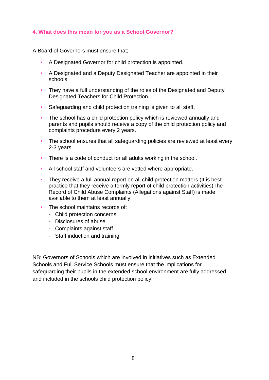#### **4. What does this mean for you as a School Governor?**

A Board of Governors must ensure that;

- A Designated Governor for child protection is appointed.
- A Designated and a Deputy Designated Teacher are appointed in their schools.
- They have a full understanding of the roles of the Designated and Deputy Designated Teachers for Child Protection.
- Safeguarding and child protection training is given to all staff.
- The school has a child protection policy which is reviewed annually and parents and pupils should receive a copy of the child protection policy and complaints procedure every 2 years.
- The school ensures that all safeguarding policies are reviewed at least every 2-3 years.
- There is a code of conduct for all adults working in the school.
- All school staff and volunteers are vetted where appropriate.
- They receive a full annual report on all child protection matters (It is best practice that they receive a termly report of child protection activities)The Record of Child Abuse Complaints (Allegations against Staff) is made available to them at least annually.
- The school maintains records of:
	- Child protection concerns
	- Disclosures of abuse
	- Complaints against staff
	- Staff induction and training

NB: Governors of Schools which are involved in initiatives such as Extended Schools and Full Service Schools must ensure that the implications for safeguarding their pupils in the extended school environment are fully addressed and included in the schools child protection policy.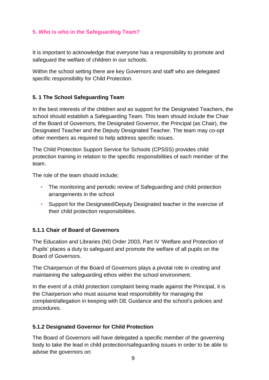#### **5. Who is who in the Safeguarding Team?**

It is important to acknowledge that everyone has a responsibility to promote and safeguard the welfare of children in our schools.

Within the school setting there are key Governors and staff who are delegated specific responsibility for Child Protection.

## **5. 1 The School Safeguarding Team**

In the best interests of the children and as support for the Designated Teachers, the school should establish a Safeguarding Team. This team should include the Chair of the Board of Governors, the Designated Governor, the Principal (as Chair), the Designated Teacher and the Deputy Designated Teacher. The team may co-opt other members as required to help address specific issues.

The Child Protection Support Service for Schools (CPSSS) provides child protection training in relation to the specific responsibilities of each member of the team.

The role of the team should include;

- The monitoring and periodic review of Safeguarding and child protection arrangements in the school
- Support for the Designated/Deputy Designated teacher in the exercise of their child protection responsibilities.

#### **5.1.1 Chair of Board of Governors**

The Education and Libraries (NI) Order 2003, Part IV 'Welfare and Protection of Pupils' places a duty to safeguard and promote the welfare of all pupils on the Board of Governors.

The Chairperson of the Board of Governors plays a pivotal role in creating and maintaining the safeguarding ethos within the school environment.

In the event of a child protection complaint being made against the Principal, it is the Chairperson who must assume lead responsibility for managing the complaint/allegation in keeping with DE Guidance and the school's policies and procedures.

#### **5.1.2 Designated Governor for Child Protection**

The Board of Governors will have delegated a specific member of the governing body to take the lead in child protection/safeguarding issues in order to be able to advise the governors on: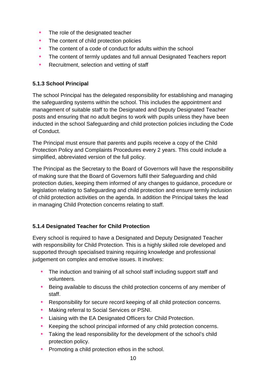- The role of the designated teacher
- The content of child protection policies
- The content of a code of conduct for adults within the school
- The content of termly updates and full annual Designated Teachers report
- Recruitment, selection and vetting of staff

## **5.1.3 School Principal**

The school Principal has the delegated responsibility for establishing and managing the safeguarding systems within the school. This includes the appointment and management of suitable staff to the Designated and Deputy Designated Teacher posts and ensuring that no adult begins to work with pupils unless they have been inducted in the school Safeguarding and child protection policies including the Code of Conduct.

The Principal must ensure that parents and pupils receive a copy of the Child Protection Policy and Complaints Procedures every 2 years. This could include a simplified, abbreviated version of the full policy.

The Principal as the Secretary to the Board of Governors will have the responsibility of making sure that the Board of Governors fulfil their Safeguarding and child protection duties, keeping them informed of any changes to guidance, procedure or legislation relating to Safeguarding and child protection and ensure termly inclusion of child protection activities on the agenda. In addition the Principal takes the lead in managing Child Protection concerns relating to staff.

## **5.1.4 Designated Teacher for Child Protection**

Every school is required to have a Designated and Deputy Designated Teacher with responsibility for Child Protection. This is a highly skilled role developed and supported through specialised training requiring knowledge and professional judgement on complex and emotive issues. It involves:

- The induction and training of all school staff including support staff and volunteers.
- Being available to discuss the child protection concerns of any member of staff.
- Responsibility for secure record keeping of all child protection concerns.
- Making referral to Social Services or PSNI.
- Liaising with the EA Designated Officers for Child Protection.
- Keeping the school principal informed of any child protection concerns.
- Taking the lead responsibility for the development of the school's child protection policy.
- Promoting a child protection ethos in the school.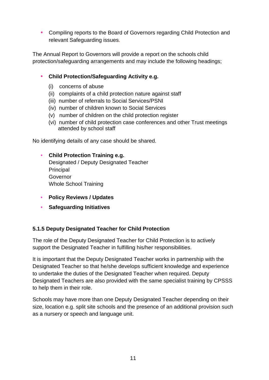• Compiling reports to the Board of Governors regarding Child Protection and relevant Safeguarding issues.

The Annual Report to Governors will provide a report on the schools child protection/safeguarding arrangements and may include the following headings;

## • **Child Protection/Safeguarding Activity e.g.**

- (i) concerns of abuse
- (ii) complaints of a child protection nature against staff
- (iii) number of referrals to Social Services/PSNI
- (iv) number of children known to Social Services
- (v) number of children on the child protection register
- (vi) number of child protection case conferences and other Trust meetings attended by school staff

No identifying details of any case should be shared.

## • **Child Protection Training e.g.**

Designated / Deputy Designated Teacher **Principal Governor** Whole School Training

- **Policy Reviews / Updates**
- **Safeguarding Initiatives**

## **5.1.5 Deputy Designated Teacher for Child Protection**

The role of the Deputy Designated Teacher for Child Protection is to actively support the Designated Teacher in fulfilling his/her responsibilities.

It is important that the Deputy Designated Teacher works in partnership with the Designated Teacher so that he/she develops sufficient knowledge and experience to undertake the duties of the Designated Teacher when required. Deputy Designated Teachers are also provided with the same specialist training by CPSSS to help them in their role.

Schools may have more than one Deputy Designated Teacher depending on their size, location e.g. split site schools and the presence of an additional provision such as a nursery or speech and language unit.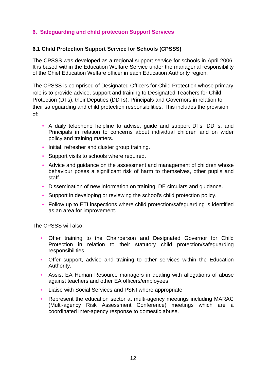## **6. Safeguarding and child protection Support Services**

#### **6.1 Child Protection Support Service for Schools (CPSSS)**

The CPSSS was developed as a regional support service for schools in April 2006. It is based within the Education Welfare Service under the managerial responsibility of the Chief Education Welfare officer in each Education Authority region.

The CPSSS is comprised of Designated Officers for Child Protection whose primary role is to provide advice, support and training to Designated Teachers for Child Protection (DTs), their Deputies (DDTs), Principals and Governors in relation to their safeguarding and child protection responsibilities. This includes the provision of:

- A daily telephone helpline to advise, guide and support DTs, DDTs, and Principals in relation to concerns about individual children and on wider policy and training matters.
- Initial, refresher and cluster group training.
- Support visits to schools where required.
- Advice and quidance on the assessment and management of children whose behaviour poses a significant risk of harm to themselves, other pupils and staff.
- Dissemination of new information on training, DE circulars and guidance.
- Support in developing or reviewing the school's child protection policy.
- Follow up to ETI inspections where child protection/safeguarding is identified as an area for improvement.

The CPSSS will also:

- Offer training to the Chairperson and Designated Governor for Child Protection in relation to their statutory child protection/safeguarding responsibilities.
- Offer support, advice and training to other services within the Education Authority.
- Assist EA Human Resource managers in dealing with allegations of abuse against teachers and other EA officers/employees
- Liaise with Social Services and PSNI where appropriate.
- Represent the education sector at multi-agency meetings including MARAC (Multi-agency Risk Assessment Conference) meetings which are a coordinated inter-agency response to domestic abuse.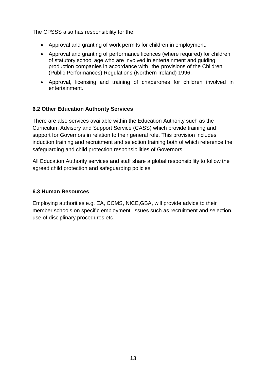The CPSSS also has responsibility for the:

- Approval and granting of work permits for children in employment.
- Approval and granting of performance licences (where required) for children of statutory school age who are involved in entertainment and guiding production companies in accordance with the provisions of the Children (Public Performances) Regulations (Northern Ireland) 1996.
- Approval, licensing and training of chaperones for children involved in entertainment.

#### **6.2 Other Education Authority Services**

There are also services available within the Education Authority such as the Curriculum Advisory and Support Service (CASS) which provide training and support for Governors in relation to their general role. This provision includes induction training and recruitment and selection training both of which reference the safeguarding and child protection responsibilities of Governors.

All Education Authority services and staff share a global responsibility to follow the agreed child protection and safeguarding policies.

#### **6.3 Human Resources**

Employing authorities e.g. EA, CCMS, NICE,GBA, will provide advice to their member schools on specific employment issues such as recruitment and selection, use of disciplinary procedures etc.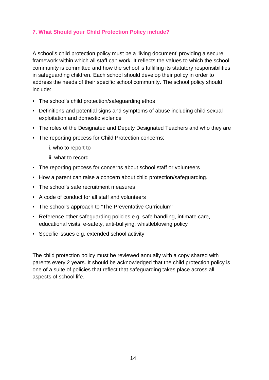## **7. What Should your Child Protection Policy include?**

A school's child protection policy must be a 'living document' providing a secure framework within which all staff can work. It reflects the values to which the school community is committed and how the school is fulfilling its statutory responsibilities in safeguarding children. Each school should develop their policy in order to address the needs of their specific school community. The school policy should include:

- The school's child protection/safeguarding ethos
- Definitions and potential signs and symptoms of abuse including child sexual exploitation and domestic violence
- The roles of the Designated and Deputy Designated Teachers and who they are
- The reporting process for Child Protection concerns:
	- i. who to report to
	- ii. what to record
- The reporting process for concerns about school staff or volunteers
- How a parent can raise a concern about child protection/safeguarding.
- The school's safe recruitment measures
- A code of conduct for all staff and volunteers
- The school's approach to "The Preventative Curriculum"
- Reference other safeguarding policies e.g. safe handling, intimate care, educational visits, e-safety, anti-bullying, whistleblowing policy
- Specific issues e.g. extended school activity

The child protection policy must be reviewed annually with a copy shared with parents every 2 years. It should be acknowledged that the child protection policy is one of a suite of policies that reflect that safeguarding takes place across all aspects of school life.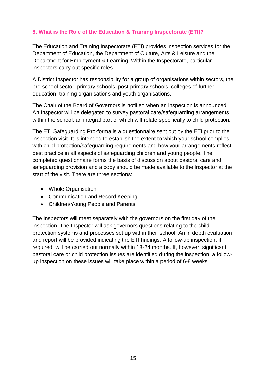## **8. What is the Role of the Education & Training Inspectorate (ETI)?**

The Education and Training Inspectorate (ETI) provides inspection services for the Department of Education, the Department of Culture, Arts & Leisure and the Department for Employment & Learning. Within the Inspectorate, particular inspectors carry out specific roles.

A District Inspector has responsibility for a group of organisations within sectors, the pre-school sector, primary schools, post-primary schools, colleges of further education, training organisations and youth organisations.

The Chair of the Board of Governors is notified when an inspection is announced. An Inspector will be delegated to survey pastoral care/safeguarding arrangements within the school, an integral part of which will relate specifically to child protection.

The ETI Safeguarding Pro-forma is a questionnaire sent out by the ETI prior to the inspection visit. It is intended to establish the extent to which your school complies with child protection/safeguarding requirements and how your arrangements reflect best practice in all aspects of safeguarding children and young people. The completed questionnaire forms the basis of discussion about pastoral care and safeguarding provision and a copy should be made available to the Inspector at the start of the visit. There are three sections:

- Whole Organisation
- Communication and Record Keeping
- Children/Young People and Parents

The Inspectors will meet separately with the governors on the first day of the inspection. The Inspector will ask governors questions relating to the child protection systems and processes set up within their school. An in depth evaluation and report will be provided indicating the ETI findings. A follow-up inspection, if required, will be carried out normally within 18-24 months. If, however, significant pastoral care or child protection issues are identified during the inspection, a followup inspection on these issues will take place within a period of 6-8 weeks